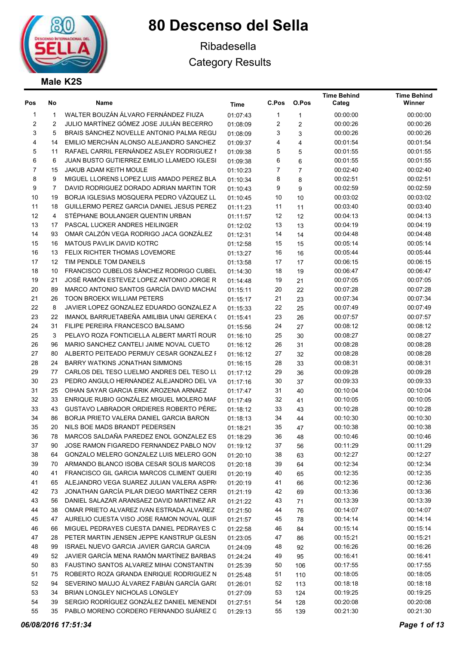

## Ribadesella Category Results

## Male K2S

| Pos            | No | Name                                                                                  | Time     | C.Pos                   | O.Pos          | <b>Time Behind</b><br>Categ | <b>Time Behind</b><br>Winner |
|----------------|----|---------------------------------------------------------------------------------------|----------|-------------------------|----------------|-----------------------------|------------------------------|
| 1              | 1  | WALTER BOUZÁN ÁLVARO FERNÁNDEZ FIUZA                                                  | 01:07:43 | 1                       | 1              | 00:00:00                    | 00:00:00                     |
| 2              | 2  | JULIO MARTÍNEZ GÓMEZ JOSE JULIÁN BECERRO                                              | 01:08:09 | $\overline{\mathbf{c}}$ | 2              | 00:00:26                    | 00:00:26                     |
| 3              | 5  | BRAIS SÁNCHEZ NOVELLE ANTONIO PALMA REGU                                              | 01:08:09 | 3                       | 3              | 00:00:26                    | 00:00:26                     |
| 4              | 14 | EMILIO MERCHÁN ALONSO ALEJANDRO SANCHEZ                                               | 01:09:37 | 4                       | 4              | 00:01:54                    | 00:01:54                     |
| 5              | 11 | RAFAEL CARRIL FERNÁNDEZ ASLEY RODRIGUEZ I                                             | 01:09:38 | 5                       | 5              | 00:01:55                    | 00:01:55                     |
| 6              | 6  | <b>JUAN BUSTO GUTIERREZ EMILIO LLAMEDO IGLESI</b>                                     | 01:09:38 | 6                       | 6              | 00:01:55                    | 00:01:55                     |
| $\overline{7}$ | 15 | JAKUB ADAM KEITH MOULE                                                                | 01:10:23 | 7                       | $\overline{7}$ | 00:02:40                    | 00:02:40                     |
| 8              | 9  | MIGUEL LLORENS LOPEZ LUIS AMADO PEREZ BLA                                             | 01:10:34 | 8                       | 8              | 00:02:51                    | 00:02:51                     |
| 9              | 7  | DAVID RODRIGUEZ DORADO ADRIAN MARTIN TOR                                              | 01:10:43 | 9                       | 9              | 00:02:59                    | 00:02:59                     |
| 10             | 19 | BORJA IGLESIAS MOSQUERA PEDRO VAZQUEZ LL                                              | 01:10:45 | 10                      | 10             | 00:03:02                    | 00:03:02                     |
| 11             | 18 | GUILLERMO PEREZ GARCIA DANIEL JESUS PEREZ                                             | 01:11:23 | 11                      | 11             | 00:03:40                    | 00:03:40                     |
| 12             | 4  | STÉPHANE BOULANGER QUENTIN URBAN                                                      | 01:11:57 | 12                      | 12             | 00:04:13                    | 00:04:13                     |
| 13             | 17 | PASCAL LUCKER ANDRES HEILINGER                                                        | 01:12:02 | 13                      | 13             | 00:04:19                    | 00:04:19                     |
| 14             | 93 | OMAR CALZÓN VEGA RODRIGO JACA GONZÁLEZ                                                | 01:12:31 | 14                      | 14             | 00:04:48                    | 00:04:48                     |
| 15             | 16 | MATOUS PAVLIK DAVID KOTRC                                                             | 01:12:58 | 15                      | 15             | 00:05:14                    | 00:05:14                     |
| 16             | 13 | <b>FELIX RICHTER THOMAS LOVEMORE</b>                                                  | 01:13:27 | 16                      | 16             | 00:05:44                    | 00:05:44                     |
| 17             | 12 | TIM PENDLE TOM DANEILS                                                                | 01:13:58 | 17                      | 17             | 00:06:15                    | 00:06:15                     |
| 18             | 10 | FRANCISCO CUBELOS SÁNCHEZ RODRIGO CUBEL                                               | 01:14:30 | 18                      | 19             | 00:06:47                    | 00:06:47                     |
| 19             | 21 | JOSÉ RAMÓN ESTEVEZ LOPEZ ANTONIO JORGE R                                              | 01:14:48 | 19                      | 21             | 00:07:05                    | 00:07:05                     |
| 20             | 89 | MARCO ANTONIO SANTOS GARCÍA DAVID MACHAI                                              | 01:15:11 | 20                      | 22             | 00:07:28                    | 00:07:28                     |
| 21             | 26 | <b>TOON BROEKX WILLIAM PETERS</b>                                                     | 01:15:17 | 21                      | 23             | 00:07:34                    | 00:07:34                     |
| 22             | 8  | JAVIER LOPEZ GONZALEZ EDUARDO GONZALEZ A                                              | 01:15:33 | 22                      | 25             | 00:07:49                    | 00:07:49                     |
| 23             | 22 | IMANOL BARRUETABEÑA AMILIBIA UNAI GEREKA (                                            | 01:15:41 | 23                      | 26             | 00:07:57                    | 00:07:57                     |
| 24             | 31 | FILIPE PEREIRA FRANCESCO BALSAMO                                                      | 01:15:56 | 24                      | 27             | 00:08:12                    | 00:08:12                     |
| 25             | 3  | PELAYO ROZA FONTICIELLA ALBERT MARTÍ ROUR                                             | 01:16:10 | 25                      | 30             | 00:08:27                    | 00:08:27                     |
| 26             | 96 | MARIO SANCHEZ CANTELI JAIME NOVAL CUETO                                               | 01:16:12 | 26                      | 31             | 00:08:28                    | 00:08:28                     |
| 27             | 80 | ALBERTO PEITEADO PERMUY CESAR GONZALEZ F                                              | 01:16:12 | 27                      | 32             | 00:08:28                    | 00:08:28                     |
| 28             | 24 | BARRY WATKINS JONATHAN SIMMONS                                                        | 01:16:15 | 28                      | 33             | 00:08:31                    | 00:08:31                     |
| 29             | 77 | CARLOS DEL TESO LUELMO ANDRES DEL TESO LI                                             | 01:17:12 | 29                      | 36             | 00:09:28                    | 00:09:28                     |
| 30             | 23 | PEDRO ANGULO HERNÁNDEZ ALEJANDRO DEL VA                                               | 01:17:16 | 30                      | 37             | 00:09:33                    | 00:09:33                     |
| 31             | 25 | OIHAN SAYAR GARCIA ERIK AROZENA ARNAEZ                                                | 01:17:47 | 31                      | 40             | 00:10:04                    | 00:10:04                     |
| 32             | 33 | ENRIQUE RUBIO GONZÁLEZ MIGUEL MOLERO MAF                                              | 01:17:49 | 32                      | 41             | 00:10:05                    | 00:10:05                     |
| 33             | 43 | GUSTAVO LABRADOR ORDIERES ROBERTO PÉRE.                                               | 01:18:12 | 33                      | 43             | 00:10:28                    | 00:10:28                     |
| 34             | 86 | BORJA PRIETO VALERA DANIEL GARCIA BARON                                               | 01:18:13 | 34                      | 44             | 00:10:30                    | 00:10:30                     |
| 35             | 20 | NILS BOE MADS BRANDT PEDERSEN                                                         | 01:18:21 | 35                      | 47             | 00:10:38                    | 00:10:38                     |
| 36             | 78 | MARCOS SALDAÑA PAREDEZ ENOL GONZALEZ ES                                               | 01:18:29 | 36                      | 48             | 00:10:46                    | 00:10:46                     |
| 37             | 90 | JOSE RAMON FIGAREDO FERNANDEZ PABLO NOV                                               |          | 37                      |                | 00:11:29                    | 00:11:29                     |
| 38             | 64 | GONZALO MELERO GONZALEZ LUIS MELERO GON                                               | 01:19:12 | 38                      | 56             | 00:12:27                    | 00:12:27                     |
| 39             | 70 | ARMANDO BLANCO ISOBA CESAR SOLIS MARCOS                                               | 01:20:10 | 39                      | 63             | 00:12:34                    | 00:12:34                     |
| 40             | 41 | FRANCISCO GIL GARCIA MARCOS CLIMENT QUERI                                             | 01:20:18 | 40                      | 64             | 00:12:35                    | 00:12:35                     |
| 41             | 65 | ALEJANDRO VEGA SUAREZ JULIAN VALERA ASPRI                                             | 01:20:19 |                         | 65             | 00:12:36                    | 00:12:36                     |
| 42             |    | JONATHAN GARCÍA PILAR DIEGO MARTÍNEZ CERR                                             | 01:20:19 | 41                      | 66             | 00:13:36                    |                              |
| 43             | 73 | DANIEL SALAZAR ARANSAEZ DAVID MARTINEZ AR                                             | 01:21:19 | 42                      | 69             | 00:13:39                    | 00:13:36<br>00:13:39         |
|                | 56 |                                                                                       | 01:21:22 | 43                      | 71             | 00:14:07                    |                              |
| 44             | 38 | OMAR PRIETO ALVAREZ IVAN ESTRADA ALVAREZ<br>AURELIO CUESTA VISO JOSE RAMON NOVAL QUIR | 01:21:50 | 44                      | 76             |                             | 00:14:07                     |
| 45             | 47 |                                                                                       | 01:21:57 | 45                      | 78             | 00:14:14                    | 00:14:14                     |
| 46             | 66 | MIGUEL PEDRAYES CUESTA DANIEL PEDRAYES C                                              | 01:22:58 | 46                      | 84             | 00:15:14                    | 00:15:14                     |
| 47             | 28 | PETER MARTIN JENSEN JEPPE KANSTRUP GLESN                                              | 01:23:05 | 47                      | 86             | 00:15:21                    | 00:15:21                     |
| 48             | 99 | ISRAEL NUEVO GARCIA JAVIER GARCIA GARCIA                                              | 01:24:09 | 48                      | 92             | 00:16:26                    | 00:16:26                     |
| 49             | 52 | JAVIER GARCÍA MENA RAMÓN MARTÍNEZ BARBAS                                              | 01:24:24 | 49                      | 95             | 00:16:41                    | 00:16:41                     |
| 50             | 83 | FAUSTINO SANTOS ALVAREZ MIHAI CONSTANTIN                                              | 01:25:39 | 50                      | 106            | 00:17:55                    | 00:17:55                     |
| 51             | 75 | ROBERTO ROZA GRANDA ENRIQUE RODRIGUEZ N                                               | 01:25:48 | 51                      | 110            | 00:18:05                    | 00:18:05                     |
| 52             | 94 | SEVERINO MAUJO ÁLVAREZ FABIÁN GARCÍA GAR(                                             | 01:26:01 | 52                      | 113            | 00:18:18                    | 00:18:18                     |
| 53             | 34 | BRIAN LONGLEY NICHOLAS LONGLEY                                                        | 01:27:09 | 53                      | 124            | 00:19:25                    | 00:19:25                     |
| 54             | 39 | SERGIO RODRÍGUEZ GONZÁLEZ DANIEL MENENDI                                              | 01:27:51 | 54                      | 128            | 00:20:08                    | 00:20:08                     |
| 55             | 35 | PABLO MORENO CORDERO FERNANDO SUÁREZ C                                                | 01:29:13 | 55                      | 139            | 00:21:30                    | 00:21:30                     |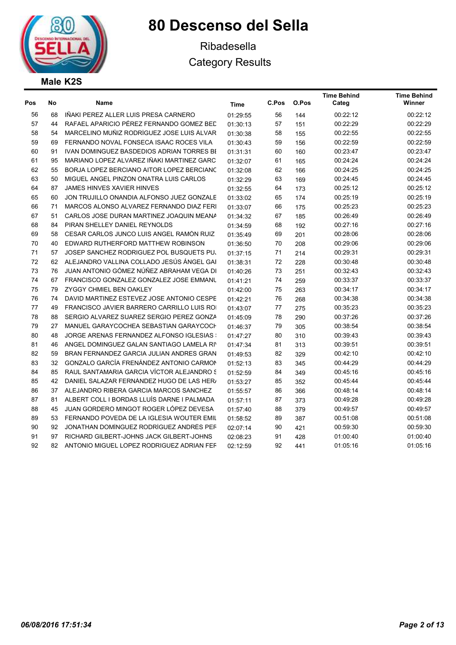



## Ribadesella Category Results

| Pos | No              | Name                                       | Time     | C.Pos | O.Pos | <b>Time Behind</b><br>Categ | <b>Time Behind</b><br>Winner |
|-----|-----------------|--------------------------------------------|----------|-------|-------|-----------------------------|------------------------------|
| 56  | 68              | IÑAKI PEREZ ALLER LUIS PRESA CARNERO       | 01:29:55 | 56    | 144   | 00:22:12                    | 00:22:12                     |
| 57  | 44              | RAFAEL APARICIO PÉREZ FERNANDO GOMEZ BED   | 01:30:13 | 57    | 151   | 00:22:29                    | 00:22:29                     |
| 58  | 54              | MARCELINO MUÑIZ RODRÍGUEZ JOSE LUIS ÁLVAR  | 01:30:38 | 58    | 155   | 00:22:55                    | 00:22:55                     |
| 59  | 69              | FERNANDO NOVAL FONSECA ISAAC ROCES VILA    | 01:30:43 | 59    | 156   | 00:22:59                    | 00:22:59                     |
| 60  | 91              | IVAN DOMINGUEZ BASDEDIOS ADRIAN TORRES BI  | 01:31:31 | 60    | 160   | 00:23:47                    | 00:23:47                     |
| 61  | 95              | MARIANO LOPEZ ALVAREZ IÑAKI MARTINEZ GARC  | 01:32:07 | 61    | 165   | 00:24:24                    | 00:24:24                     |
| 62  | 55              | BORJA LOPEZ BERCIANO AITOR LOPEZ BERCIANC  | 01:32:08 | 62    | 166   | 00:24:25                    | 00:24:25                     |
| 63  | 50              | MIGUEL ANGEL PINZON ONATRA LUIS CARLOS     | 01:32:29 | 63    | 169   | 00:24:45                    | 00:24:45                     |
| 64  | 87              | <b>JAMES HINVES XAVIER HINVES</b>          | 01:32:55 | 64    | 173   | 00:25:12                    | 00:25:12                     |
| 65  | 60              | JON TRUJILLO ONANDIA ALFONSO JUEZ GONZALE  | 01:33:02 | 65    | 174   | 00:25:19                    | 00:25:19                     |
| 66  | 71              | MARCOS ALONSO ALVAREZ FERNANDO DIAZ FERI   | 01:33:07 | 66    | 175   | 00:25:23                    | 00:25:23                     |
| 67  | 51              | CARLOS JOSE DURAN MARTINEZ JOAQUIN MEANA   | 01:34:32 | 67    | 185   | 00:26:49                    | 00:26:49                     |
| 68  | 84              | PIRAN SHELLEY DANIEL REYNOLDS              | 01:34:59 | 68    | 192   | 00:27:16                    | 00:27:16                     |
| 69  | 58              | CESAR CARLOS JUNCO LUIS ANGEL RAMÓN RUIZ   | 01:35:49 | 69    | 201   | 00:28:06                    | 00:28:06                     |
| 70  | 40              | EDWARD RUTHERFORD MATTHEW ROBINSON         | 01:36:50 | 70    | 208   | 00:29:06                    | 00:29:06                     |
| 71  | 57              | JOSEP SANCHEZ RODRIGUEZ POL BUSQUETS PU.   | 01:37:15 | 71    | 214   | 00:29:31                    | 00:29:31                     |
| 72  | 62              | ALEJANDRO VALLINA COLLADO JESÚS ÁNGEL GAI  | 01:38:31 | 72    | 228   | 00:30:48                    | 00:30:48                     |
| 73  | 76              | JUAN ANTONIO GÓMEZ NÚÑEZ ABRAHAM VEGA DI   | 01:40:26 | 73    | 251   | 00:32:43                    | 00:32:43                     |
| 74  | 67              | FRANCISCO GONZALEZ GONZALEZ JOSE EMMANU    | 01:41:21 | 74    | 259   | 00:33:37                    | 00:33:37                     |
| 75  | 79              | ZYGGY CHMIEL BEN OAKLEY                    | 01:42:00 | 75    | 263   | 00:34:17                    | 00:34:17                     |
| 76  | 74              | DAVID MARTINEZ ESTEVEZ JOSE ANTONIO CESPE  | 01:42:21 | 76    | 268   | 00:34:38                    | 00:34:38                     |
| 77  | 49              | FRANCISCO JAVIER BARRERO CARRILLO LUIS ROI | 01:43:07 | 77    | 275   | 00:35:23                    | 00:35:23                     |
| 78  | 88              | SERGIO ALVAREZ SUAREZ SERGIO PEREZ GONZA   | 01:45:09 | 78    | 290   | 00:37:26                    | 00:37:26                     |
| 79  | 27              | MANUEL GARAYCOCHEA SEBASTIAN GARAYCOCH     | 01:46:37 | 79    | 305   | 00:38:54                    | 00:38:54                     |
| 80  | 48              | JORGE ARENAS FERNANDEZ ALFONSO IGLESIAS :  | 01:47:27 | 80    | 310   | 00:39:43                    | 00:39:43                     |
| 81  | 46              | ANGEL DOMINGUEZ GALAN SANTIAGO LAMELA RI'  | 01:47:34 | 81    | 313   | 00:39:51                    | 00:39:51                     |
| 82  | 59              | BRAN FERNANDEZ GARCIA JULIAN ANDRES GRAN   | 01:49:53 | 82    | 329   | 00:42:10                    | 00:42:10                     |
| 83  | 32 <sup>2</sup> | GONZALO GARCÍA FRENÁNDEZ ANTONIO CARMON    | 01:52:13 | 83    | 345   | 00:44:29                    | 00:44:29                     |
| 84  | 85              | RAUL SANTAMARIA GARCIA VÍCTOR ALEJANDRO S  | 01:52:59 | 84    | 349   | 00:45:16                    | 00:45:16                     |
| 85  | 42              | DANIEL SALAZAR FERNÁNDEZ HUGO DE LAS HER   | 01:53:27 | 85    | 352   | 00:45:44                    | 00:45:44                     |
| 86  | 37              | ALEJANDRO RIBERA GARCIA MARCOS SANCHEZ     | 01:55:57 | 86    | 366   | 00:48:14                    | 00:48:14                     |
| 87  | 81              | ALBERT COLL I BORDAS LLUÍS DARNE I PALMADA | 01:57:11 | 87    | 373   | 00:49:28                    | 00:49:28                     |
| 88  | 45              | JUAN GORDERO MINGOT ROGER LÓPEZ DEVESA     | 01:57:40 | 88    | 379   | 00:49:57                    | 00:49:57                     |
| 89  | 53              | FERNANDO POVEDA DE LA IGLESIA WOUTER EMIL  | 01:58:52 | 89    | 387   | 00:51:08                    | 00:51:08                     |
| 90  | 92              | JONATHAN DOMÍNGUEZ RODRÍGUEZ ANDRÉS PEF    | 02:07:14 | 90    | 421   | 00:59:30                    | 00:59:30                     |
| 91  | 97              | RICHARD GILBERT-JOHNS JACK GILBERT-JOHNS   | 02:08:23 | 91    | 428   | 01:00:40                    | 01:00:40                     |
| 92  | 82              | ANTONIO MIGUEL LOPEZ RODRIGUEZ ADRIAN FEF  | 02:12:59 | 92    | 441   | 01:05:16                    | 01:05:16                     |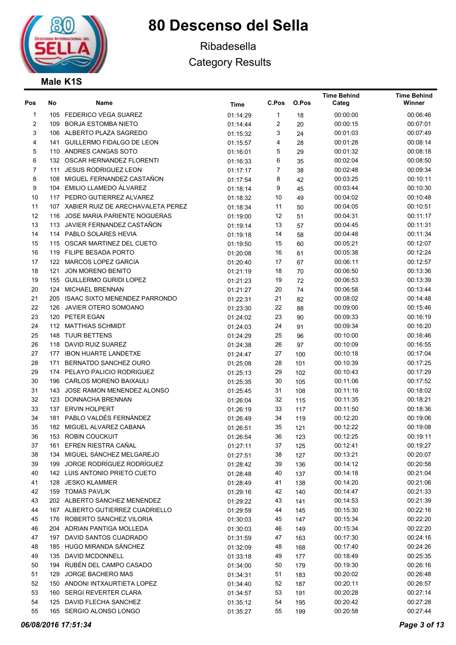

## Ribadesella Category Results

Time Behind

Time Behind

| Pos            | No  | Name                                  | <b>Time</b> | C.Pos          | O.Pos | Categ    | Winner   |
|----------------|-----|---------------------------------------|-------------|----------------|-------|----------|----------|
| $\mathbf{1}$   |     | 105 FEDERICO VEGA SUAREZ              | 01:14:29    | 1              | 18    | 00:00:00 | 00:06:46 |
| 2              |     | 109 BORJA ESTOMBA NIETO               | 01:14:44    | $\overline{c}$ | 20    | 00:00:15 | 00:07:01 |
| 3              |     | 106 ALBERTO PLAZA SAGREDO             | 01:15:32    | 3              | 24    | 00:01:03 | 00:07:49 |
| 4              |     | 141 GUILLERMO FIDALGO DE LEON         | 01:15:57    | 4              | 28    | 00:01:28 | 00:08:14 |
| 5              |     | 110 ANDRES CANGAS SOTO                | 01:16:01    | 5              | 29    | 00:01:32 | 00:08:18 |
| 6              |     | 132 OSCAR HERNANDEZ FLORENTI          | 01:16:33    | 6              | 35    | 00:02:04 | 00:08:50 |
| $\overline{7}$ |     | 111 JESUS RODRIGUEZ LEON              | 01:17:17    | $\overline{7}$ | 38    | 00:02:48 | 00:09:34 |
| 8              |     | 108 MIGUEL FERNANDEZ CASTAÑON         | 01:17:54    | 8              | 42    | 00:03:25 | 00:10:11 |
| 9              |     | 104 EMILIO LLAMEDO ÁLVAREZ            | 01:18:14    | 9              | 45    | 00:03:44 | 00:10:30 |
| 10             |     | 117 PEDRO GUTIERREZ ALVAREZ           | 01:18:32    | 10             | 49    | 00:04:02 | 00:10:48 |
| 11             |     | 107 XABIER RUIZ DE ARECHAVALETA PEREZ | 01:18:34    | 11             | 50    | 00:04:05 | 00:10:51 |
| 12             |     | 116 JOSE MARIA PARIENTE NOGUERAS      | 01:19:00    | 12             | 51    | 00:04:31 | 00:11:17 |
| 13             |     | 113 JAVIER FERNANDEZ CASTAÑON         | 01:19:14    | 13             | 57    | 00:04:45 | 00:11:31 |
| 14             |     | 114 PABLO SOLARES HEVIA               | 01:19:18    | 14             | 58    | 00:04:48 | 00:11:34 |
| 15             |     | 115 OSCAR MARTINEZ DEL CUETO          | 01:19:50    | 15             | 60    | 00:05:21 | 00:12:07 |
| 16             |     | 119 FILIPE BESADA PORTO               | 01:20:08    | 16             | 61    | 00:05:38 | 00:12:24 |
| 17             |     | 122 MARCOS LOPEZ GARCIA               | 01:20:40    | 17             | 67    | 00:06:11 | 00:12:57 |
| 18             | 121 | <b>JON MORENO BENITO</b>              | 01:21:19    | 18             | 70    | 00:06:50 | 00:13:36 |
| 19             |     | 155 GUILLERMO GURIDI LOPEZ            | 01:21:23    | 19             | 72    | 00:06:53 | 00:13:39 |
| 20             |     | 124 MICHAEL BRENNAN                   | 01:21:27    | 20             | 74    | 00:06:58 | 00:13:44 |
| 21             |     | 205 ISAAC SIXTO MENENDEZ PARRONDO     | 01:22:31    | 21             | 82    | 00:08:02 | 00:14:48 |
| 22             |     | 126 JAVIER OTERO SOMOANO              | 01:23:30    | 22             | 88    | 00:09:00 | 00:15:46 |
| 23             |     | 120 PETER EGAN                        | 01:24:02    | 23             | 90    | 00:09:33 | 00:16:19 |
| 24             |     | 112 MATTHIAS SCHMIDT                  | 01:24:03    | 24             | 91    | 00:09:34 | 00:16:20 |
| 25             |     | 148 TUUR BETTENS                      | 01:24:29    | 25             | 96    | 00:10:00 | 00:16:46 |
| 26             |     | 118 DAVID RUIZ SUAREZ                 | 01:24:38    | 26             | 97    | 00:10:09 | 00:16:55 |
| 27             |     | 177 IBON HUARTE LANDETXE              | 01:24:47    | 27             | 100   | 00:10:18 | 00:17:04 |
| 28             |     | 171 BERNATDO SANCHEZ OURO             | 01:25:08    | 28             | 101   | 00:10:39 | 00:17:25 |
| 29             |     | 174 PELAYO PALICIO RODRIGUEZ          | 01:25:13    | 29             | 102   | 00:10:43 | 00:17:29 |
| 30             |     | 196 CARLOS MORENO BAIXAULI            | 01:25:35    | 30             | 105   | 00:11:06 | 00:17:52 |
| 31             |     | 143 JOSE RAMON MENENDEZ ALONSO        | 01:25:45    | 31             | 108   | 00:11:16 | 00:18:02 |
| 32             |     | 123 DONNACHA BRENNAN                  | 01:26:04    | 32             | 115   | 00:11:35 | 00:18:21 |
| 33             |     | 137 ERVIN HOLPERT                     | 01:26:19    | 33             | 117   | 00:11:50 | 00:18:36 |
| 34             |     | 181 PABLO VALDÉS FERNÁNDEZ            | 01:26:49    | 34             | 119   | 00:12:20 | 00:19:06 |
| 35             |     | 182 MIGUEL ALVAREZ CABANA             | 01:26:51    | 35             | 121   | 00:12:22 | 00:19:08 |
| 36             |     | 153 ROBIN COUCKUIT                    | 01:26:54    | 36             | 123   | 00:12:25 | 00:19:11 |
| 37             |     | 161 EFREN RIESTRA CAÑAL               | 01:27:11    | 37             | 125   | 00:12:41 | 00:19:27 |
| 38             | 134 | MIGUEL SÁNCHEZ MELGAREJO              | 01:27:51    | 38             | 127   | 00:13:21 | 00:20:07 |
| 39             | 199 | JORGE RODRÍGUEZ RODRÍGUEZ             | 01:28:42    | 39             | 136   | 00:14:12 | 00:20:58 |
| 40             |     | 142 LUIS ANTONIO PRIETO CUETO         | 01:28:48    | 40             | 137   | 00:14:18 | 00:21:04 |
| 41             | 128 | <b>JESKO KLAMMER</b>                  | 01:28:49    | 41             | 138   | 00:14:20 | 00:21:06 |
| 42             |     | 159 TOMAS PAVLIK                      | 01:29:16    | 42             | 140   | 00:14:47 | 00:21:33 |
| 43             |     | 202 ALBERTO SANCHEZ MENENDEZ          | 01:29:22    | 43             | 141   | 00:14:53 | 00:21:39 |
| 44             |     | 167 ALBERTO GUTIERREZ CUADRIELLO      | 01:29:59    | 44             | 145   | 00:15:30 | 00:22:16 |
| 45             |     | 176 ROBERTO SANCHEZ VILORIA           | 01:30:03    | 45             | 147   | 00:15:34 | 00:22:20 |
| 46             |     | 204 ADRIAN PANTIGA MOLLEDA            | 01:30:03    | 46             | 149   | 00:15:34 | 00:22:20 |
| 47             |     | 197 DAVID SANTOS CUADRADO             | 01:31:59    | 47             | 163   | 00:17:30 | 00:24:16 |
| 48             |     | 185 HUGO MIRANDA SÁNCHEZ              | 01:32:09    | 48             | 168   | 00:17:40 | 00:24:26 |
| 49             |     | 135 DAVID MCDONNELL                   | 01:33:18    | 49             | 177   | 00:18:49 | 00:25:35 |
| 50             | 194 | RUBÉN DEL CAMPO CASADO                | 01:34:00    | 50             | 179   | 00:19:30 | 00:26:16 |
| 51             | 129 | JORGE BACHERO MAS                     | 01:34:31    | 51             | 183   | 00:20:02 | 00:26:48 |
| 52             |     | 150 ANDONI INTXAURTIETA LOPEZ         | 01:34:40    | 52             | 187   | 00:20:11 | 00:26:57 |
| 53             | 160 | <b>SERGI REVERTER CLARA</b>           | 01:34:57    | 53             | 191   | 00:20:28 | 00:27:14 |
| 54             |     | 125 DAVID FLECHA SANCHEZ              | 01:35:12    | 54             | 195   | 00:20:42 | 00:27:28 |
| 55             |     | 165 SERGIO ALONSO LONGO               |             | 55             | 199   | 00:20:58 | 00:27:44 |
|                |     |                                       | 01:35:27    |                |       |          |          |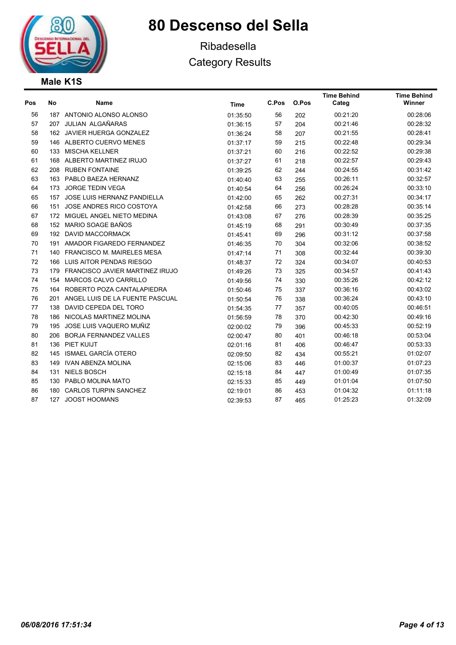

## Ribadesella Category Results

| Pos | No  | Name                                   | <b>Time</b> | C.Pos | O.Pos | <b>Time Behind</b><br>Categ | <b>Time Behind</b><br>Winner |
|-----|-----|----------------------------------------|-------------|-------|-------|-----------------------------|------------------------------|
| 56  |     | 187 ANTONIO ALONSO ALONSO              | 01:35:50    | 56    | 202   | 00:21:20                    | 00:28:06                     |
| 57  |     | 207 JULIAN ALGAÑARAS                   | 01:36:15    | 57    | 204   | 00:21:46                    | 00:28:32                     |
| 58  |     | 162 JAVIER HUERGA GONZALEZ             | 01:36:24    | 58    | 207   | 00:21:55                    | 00:28:41                     |
| 59  |     | 146 ALBERTO CUERVO MENES               | 01:37:17    | 59    | 215   | 00:22:48                    | 00:29:34                     |
| 60  | 133 | <b>MISCHA KELLNER</b>                  | 01:37:21    | 60    | 216   | 00:22:52                    | 00:29:38                     |
| 61  |     | 168 ALBERTO MARTINEZ IRUJO             | 01:37:27    | 61    | 218   | 00:22:57                    | 00:29:43                     |
| 62  |     | 208 RUBEN FONTAINE                     | 01:39:25    | 62    | 244   | 00:24:55                    | 00:31:42                     |
| 63  |     | 163 PABLO BAEZA HERNANZ                | 01:40:40    | 63    | 255   | 00:26:11                    | 00:32:57                     |
| 64  | 173 | <b>JORGE TEDIN VEGA</b>                | 01:40:54    | 64    | 256   | 00:26:24                    | 00:33:10                     |
| 65  | 157 | JOSE LUIS HERNANZ PANDIELLA            | 01:42:00    | 65    | 262   | 00:27:31                    | 00:34:17                     |
| 66  | 151 | JOSE ANDRES RICO COSTOYA               | 01:42:58    | 66    | 273   | 00:28:28                    | 00:35:14                     |
| 67  |     | 172 MIGUEL ANGEL NIETO MEDINA          | 01:43:08    | 67    | 276   | 00:28:39                    | 00:35:25                     |
| 68  |     | 152 MARIO SOAGE BAÑOS                  | 01:45:19    | 68    | 291   | 00:30:49                    | 00:37:35                     |
| 69  | 192 | <b>DAVID MACCORMACK</b>                | 01:45:41    | 69    | 296   | 00:31:12                    | 00:37:58                     |
| 70  | 191 | AMADOR FIGAREDO FERNANDEZ              | 01:46:35    | 70    | 304   | 00:32:06                    | 00:38:52                     |
| 71  | 140 | FRANCISCO M. MAIRELES MESA             | 01:47:14    | 71    | 308   | 00:32:44                    | 00:39:30                     |
| 72  | 166 | LUIS AITOR PENDAS RIESGO               | 01:48:37    | 72    | 324   | 00:34:07                    | 00:40:53                     |
| 73  | 179 | <b>FRANCISCO JAVIER MARTINEZ IRUJO</b> | 01:49:26    | 73    | 325   | 00:34:57                    | 00:41:43                     |
| 74  | 154 | MARCOS CALVO CARRILLO                  | 01:49:56    | 74    | 330   | 00:35:26                    | 00:42:12                     |
| 75  | 164 | ROBERTO POZA CANTALAPIEDRA             | 01:50:46    | 75    | 337   | 00:36:16                    | 00:43:02                     |
| 76  | 201 | ANGEL LUIS DE LA FUENTE PASCUAL        | 01:50:54    | 76    | 338   | 00:36:24                    | 00:43:10                     |
| 77  | 138 | DAVID CEPEDA DEL TORO                  | 01:54:35    | 77    | 357   | 00:40:05                    | 00:46:51                     |
| 78  | 186 | NICOLAS MARTINEZ MOLINA                | 01:56:59    | 78    | 370   | 00:42:30                    | 00:49:16                     |
| 79  | 195 | JOSE LUIS VAQUERO MUÑIZ                | 02:00:02    | 79    | 396   | 00:45:33                    | 00:52:19                     |
| 80  | 206 | <b>BORJA FERNANDEZ VALLES</b>          | 02:00:47    | 80    | 401   | 00:46:18                    | 00:53:04                     |
| 81  |     | 136 PIET KUIJT                         | 02:01:16    | 81    | 406   | 00:46:47                    | 00:53:33                     |
| 82  | 145 | ISMAEL GARCÍA OTERO                    | 02:09:50    | 82    | 434   | 00:55:21                    | 01:02:07                     |
| 83  | 149 | <b>IVAN ABENZA MOLINA</b>              | 02:15:06    | 83    | 446   | 01:00:37                    | 01:07:23                     |
| 84  | 131 | <b>NIELS BOSCH</b>                     | 02:15:18    | 84    | 447   | 01:00:49                    | 01:07:35                     |
| 85  | 130 | PABLO MOLINA MATO                      | 02:15:33    | 85    | 449   | 01:01:04                    | 01:07:50                     |
| 86  | 180 | <b>CARLOS TURPIN SANCHEZ</b>           | 02:19:01    | 86    | 453   | 01:04:32                    | 01:11:18                     |
| 87  | 127 | <b>JOOST HOOMANS</b>                   | 02:39:53    | 87    | 465   | 01:25:23                    | 01:32:09                     |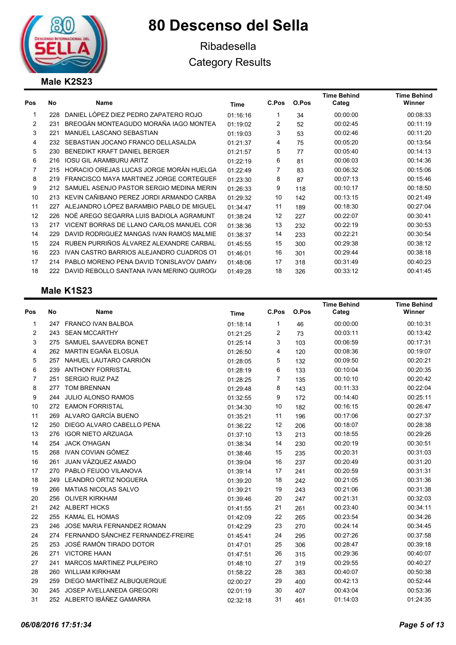

## Ribadesella Category Results

### Male K2S23

| Pos | No  | Name                                      | Time     | C.Pos | O.Pos | <b>Time Behind</b><br>Categ | <b>Time Behind</b><br>Winner |
|-----|-----|-------------------------------------------|----------|-------|-------|-----------------------------|------------------------------|
|     | 228 | DANIEL LÓPEZ DIEZ PEDRO ZAPATERO ROJO     | 01:16:16 |       | 34    | 00:00:00                    | 00:08:33                     |
| 2   | 231 | BREOGÁN MONTEAGUDO MORAÑA IAGO MONTEA     | 01:19:02 | 2     | 52    | 00:02:45                    | 00:11:19                     |
| 3   | 221 | MANUEL LASCANO SEBASTIAN                  | 01:19:03 | 3     | 53    | 00:02:46                    | 00:11:20                     |
| 4   | 232 | SEBASTIAN JOCANO FRANCO DELLASALDA        | 01:21:37 | 4     | 75    | 00:05:20                    | 00:13:54                     |
| 5   | 230 | BENEDIKT KRAFT DANIEL BERGER              | 01:21:57 | 5     | 77    | 00:05:40                    | 00:14:13                     |
| 6   | 216 | <b>IOSU GIL ARAMBURU ARITZ</b>            | 01:22:19 | 6     | 81    | 00:06:03                    | 00:14:36                     |
|     | 215 | HORACIO OREJAS LUCAS JORGE MORÁN HUELGA   | 01:22:49 | 7     | 83    | 00:06:32                    | 00:15:06                     |
| 8   | 219 | FRANCISCO MAYA MARTINEZ JORGE CORTEGUEF   | 01:23:30 | 8     | 87    | 00:07:13                    | 00:15:46                     |
| 9   | 212 | SAMUEL ASENJO PASTOR SERGIO MEDINA MERIN  | 01:26:33 | 9     | 118   | 00:10:17                    | 00:18:50                     |
| 10  | 213 | KEVIN CAÑIBANO PEREZ JORDI ARMANDO CARBA  | 01:29:32 | 10    | 142   | 00:13:15                    | 00:21:49                     |
| 11  | 227 | ALEJANDRO LÓPEZ BARAMBIO PABLO DE MIGUEL  | 01:34:47 | 11    | 189   | 00:18:30                    | 00:27:04                     |
| 12  | 226 | NOÉ AREGO SEGARRA LUIS BADIOLA AGRAMUNT   | 01:38:24 | 12    | 227   | 00:22:07                    | 00:30:41                     |
| 13  | 217 | VICENT BORRAS DE LLANO CARLOS MANUEL COR  | 01:38:36 | 13    | 232   | 00:22:19                    | 00:30:53                     |
| 14  | 229 | DAVID RODRIGUEZ MANGAS IVAN RAMOS MALMIE  | 01:38:37 | 14    | 233   | 00:22:21                    | 00:30:54                     |
| 15  | 224 | RUBEN PURRIÑOS ÁLVAREZ ALEXANDRE CARBALI  | 01:45:55 | 15    | 300   | 00:29:38                    | 00:38:12                     |
| 16  | 223 | IVAN CASTRO BARRIOS ALEJANDRO CUADROS OT  | 01:46:01 | 16    | 301   | 00:29:44                    | 00:38:18                     |
| 17  | 214 | PABLO MORENO PENA DAVID TONISLAVOV DAMY/  | 01:48:06 | 17    | 318   | 00:31:49                    | 00:40:23                     |
| 18  | 222 | DAVID REBOLLO SANTANA IVAN MERINO QUIROG/ | 01:49:28 | 18    | 326   | 00:33:12                    | 00:41:45                     |
|     |     |                                           |          |       |       |                             |                              |

### Male K1S23

| Pos | No  | Name                              |             | C.Pos | O.Pos | <b>Time Behind</b><br>Categ | <b>Time Behind</b><br>Winner |
|-----|-----|-----------------------------------|-------------|-------|-------|-----------------------------|------------------------------|
|     |     |                                   | <b>Time</b> |       |       |                             |                              |
| 1   | 247 | <b>FRANCO IVAN BALBOA</b>         | 01:18:14    | 1     | 46    | 00:00:00                    | 00:10:31                     |
| 2   | 243 | <b>SEAN MCCARTHY</b>              | 01:21:25    | 2     | 73    | 00:03:11                    | 00:13:42                     |
| 3   | 275 | SAMUEL SAAVEDRA BONET             | 01:25:14    | 3     | 103   | 00:06:59                    | 00:17:31                     |
| 4   | 262 | MARTIN EGAÑA ELOSUA               | 01:26:50    | 4     | 120   | 00:08:36                    | 00:19:07                     |
| 5   |     | 257 NAHUEL LAUTARO CARRIÓN        | 01:28:05    | 5     | 132   | 00:09:50                    | 00:20:21                     |
| 6   |     | 239 ANTHONY FORRISTAL             | 01:28:19    | 6     | 133   | 00:10:04                    | 00:20:35                     |
| 7   | 251 | <b>SERGIO RUIZ PAZ</b>            | 01:28:25    | 7     | 135   | 00:10:10                    | 00:20:42                     |
| 8   | 277 | <b>TOM BRENNAN</b>                | 01:29:48    | 8     | 143   | 00:11:33                    | 00:22:04                     |
| 9   | 244 | <b>JULIO ALONSO RAMOS</b>         | 01:32:55    | 9     | 172   | 00:14:40                    | 00:25:11                     |
| 10  |     | 272 EAMON FORRISTAL               | 01:34:30    | 10    | 182   | 00:16:15                    | 00:26:47                     |
| 11  |     | 269 ALVARO GARCÍA BUENO           | 01:35:21    | 11    | 196   | 00:17:06                    | 00:27:37                     |
| 12  | 250 | DIEGO ALVARO CABELLO PENA         | 01:36:22    | 12    | 206   | 00:18:07                    | 00:28:38                     |
| 13  | 276 | <b>IGOR NIETO ARZUAGA</b>         | 01:37:10    | 13    | 213   | 00:18:55                    | 00:29:26                     |
| 14  | 254 | <b>JACK O'HAGAN</b>               | 01:38:34    | 14    | 230   | 00:20:19                    | 00:30:51                     |
| 15  | 268 | IVAN COVIAN GÓMEZ                 | 01:38:46    | 15    | 235   | 00:20:31                    | 00:31:03                     |
| 16  | 261 | JUAN VÁZQUEZ AMADO                | 01:39:04    | 16    | 237   | 00:20:49                    | 00:31:20                     |
| 17  | 270 | PABLO FEIJOO VILANOVA             | 01:39:14    | 17    | 241   | 00:20:59                    | 00:31:31                     |
| 18  | 249 | <b>LEANDRO ORTIZ NOGUERA</b>      | 01:39:20    | 18    | 242   | 00:21:05                    | 00:31:36                     |
| 19  | 266 | <b>MATIAS NICOLAS SALVO</b>       | 01:39:21    | 19    | 243   | 00:21:06                    | 00:31:38                     |
| 20  | 256 | <b>OLIVER KIRKHAM</b>             | 01:39:46    | 20    | 247   | 00:21:31                    | 00:32:03                     |
| 21  |     | 242 ALBERT HICKS                  | 01:41:55    | 21    | 261   | 00:23:40                    | 00:34:11                     |
| 22  | 255 | <b>KAMAL EL HOMAS</b>             | 01:42:09    | 22    | 265   | 00:23:54                    | 00:34:26                     |
| 23  | 246 | JOSE MARIA FERNANDEZ ROMAN        | 01:42:29    | 23    | 270   | 00:24:14                    | 00:34:45                     |
| 24  | 274 | FERNANDO SÁNCHEZ FERNANDEZ-FREIRE | 01:45:41    | 24    | 295   | 00:27:26                    | 00:37:58                     |
| 25  | 253 | JOSÉ RAMÓN TIRADO DOTOR           | 01:47:01    | 25    | 306   | 00:28:47                    | 00:39:18                     |
| 26  | 271 | <b>VICTORE HAAN</b>               | 01:47:51    | 26    | 315   | 00:29:36                    | 00:40:07                     |
| 27  | 241 | <b>MARCOS MARTINEZ PULPEIRO</b>   | 01:48:10    | 27    | 319   | 00:29:55                    | 00:40:27                     |
| 28  | 260 | <b>WILLIAM KIRKHAM</b>            | 01:58:22    | 28    | 383   | 00:40:07                    | 00:50:38                     |
| 29  | 259 | DIEGO MARTÍNEZ ALBUQUERQUE        | 02:00:27    | 29    | 400   | 00:42:13                    | 00:52:44                     |
| 30  | 245 | JOSEP AVELLANEDA GREGORI          | 02:01:19    | 30    | 407   | 00:43:04                    | 00:53:36                     |
| 31  |     | 252 ALBERTO IBÁÑEZ GAMARRA        | 02:32:18    | 31    | 461   | 01:14:03                    | 01:24:35                     |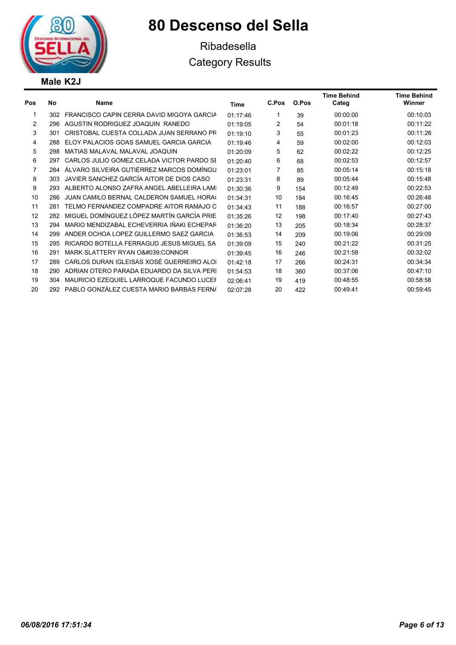

## Ribadesella Category Results

| No  | <b>Name</b>                               | Time     | C.Pos | O.Pos | <b>Time Behind</b><br>Categ | <b>Time Behind</b><br>Winner |
|-----|-------------------------------------------|----------|-------|-------|-----------------------------|------------------------------|
| 302 | FRANCISCO CAPIN CERRA DAVID MIGOYA GARCIA | 01:17:46 | 1     | 39    | 00:00:00                    | 00:10:03                     |
| 296 | AGUSTIN RODRIGUEZ JOAQUIN RANEDO          | 01:19:05 | 2     | 54    | 00:01:18                    | 00:11:22                     |
| 301 | CRISTOBAL CUESTA COLLADA JUAN SERRANO PR  | 01:19:10 | 3     | 55    | 00:01:23                    | 00:11:26                     |
| 288 | ELOY PALACIOS GOAS SAMUEL GARCIA GARCIA   | 01:19:46 | 4     | 59    | 00:02:00                    | 00:12:03                     |
| 298 | MATIAS MALAVAL MALAVAL JOAQUIN            | 01:20:09 | 5     | 62    | 00:02:22                    | 00:12:25                     |
| 297 | CARLOS JULIO GÓMEZ CELADA VICTOR PARDO SI | 01:20:40 | 6     | 68    | 00:02:53                    | 00:12:57                     |
| 284 | ÁLVARO SILVEIRA GUTIÉRREZ MARCOS DOMÍNGU  | 01:23:01 | 7     | 85    | 00:05:14                    | 00:15:18                     |
| 303 | JAVIER SANCHEZ GARCÍA AITOR DE DIOS CASO  | 01:23:31 | 8     | 89    | 00:05:44                    | 00:15:48                     |
| 293 | ALBERTO ALONSO ZAFRA ANGEL ABELLEIRA LAMI | 01:30:36 | 9     | 154   | 00:12:49                    | 00:22:53                     |
| 286 | JUAN CAMILO BERNAL CALDERON SAMUEL HORAG  | 01:34:31 | 10    | 184   | 00:16:45                    | 00:26:48                     |
| 281 | TELMO FERNANDEZ COMPADRE AITOR RAMAJO O   | 01:34:43 | 11    | 188   | 00:16:57                    | 00:27:00                     |
| 282 | MIGUEL DOMÍNGUEZ LÓPEZ MARTÍN GARCÍA PRIE | 01:35:26 | 12    | 198   | 00:17:40                    | 00:27:43                     |
| 294 | MARIO MENDIZABAL ECHEVERRIA IÑAKI ECHEPAR | 01:36:20 | 13    | 205   | 00:18:34                    | 00:28:37                     |
| 299 | ANDER OCHOA LOPEZ GUILLERMO SAEZ GARCIA   | 01:36:53 | 14    | 209   | 00:19:06                    | 00:29:09                     |
| 295 | RICARDO BOTELLA FERRAGUD JESUS MIGUEL SA  | 01:39:09 | 15    | 240   | 00:21:22                    | 00:31:25                     |
| 291 | MARK SLATTERY RYAN O'CONNOR               | 01:39:45 | 16    | 246   | 00:21:58                    | 00:32:02                     |
| 289 | CARLOS DURAN IGLEISAS XOSÉ GUERREIRO ALOI | 01:42:18 | 17    | 266   | 00:24:31                    | 00:34:34                     |
| 290 | ADRIAN OTERO PARADA EDUARDO DA SILVA PERI | 01:54:53 | 18    | 360   | 00:37:06                    | 00:47:10                     |
| 304 | MAURICIO EZEQUIEL LARROQUE FACUNDO LUCEF  | 02:06:41 | 19    | 419   | 00:48:55                    | 00:58:58                     |
| 292 | PABLO GONZÁLEZ CUESTA MARIO BARBAS FERNA  | 02:07:28 | 20    | 422   | 00:49:41                    | 00:59:45                     |
|     |                                           |          |       |       |                             |                              |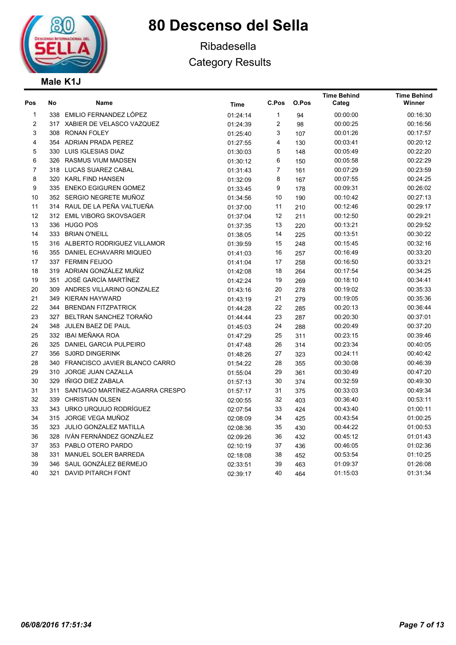

## Ribadesella Category Results

### Male K1J

| Pos              | No  | Name                                | <b>Time</b> | C.Pos        | O.Pos | <b>Time Behind</b><br>Categ | <b>Time Behind</b><br>Winner |
|------------------|-----|-------------------------------------|-------------|--------------|-------|-----------------------------|------------------------------|
| 1                |     | 338 EMILIO FERNANDEZ LÓPEZ          | 01:24:14    | $\mathbf{1}$ | 94    | 00:00:00                    | 00:16:30                     |
| 2                |     | 317 XABIER DE VELASCO VAZQUEZ       | 01:24:39    | 2            | 98    | 00:00:25                    | 00:16:56                     |
| 3                |     | 308 RONAN FOLEY                     | 01:25:40    | 3            | 107   | 00:01:26                    | 00:17:57                     |
| 4                |     | 354 ADRIAN PRADA PEREZ              | 01:27:55    | 4            | 130   | 00:03:41                    | 00:20:12                     |
| 5                |     | 330 LUIS IGLESIAS DIAZ              | 01:30:03    | 5            | 148   | 00:05:49                    | 00:22:20                     |
| 6                |     | 326 RASMUS VIUM MADSEN              | 01:30:12    | 6            | 150   | 00:05:58                    | 00:22:29                     |
| $\boldsymbol{7}$ |     | 318 LUCAS SUAREZ CABAL              | 01:31:43    | 7            | 161   | 00:07:29                    | 00:23:59                     |
| 8                |     | 320 KARL FIND HANSEN                | 01:32:09    | 8            | 167   | 00:07:55                    | 00:24:25                     |
| 9                |     | 335 ENEKO EGIGUREN GOMEZ            | 01:33:45    | 9            | 178   | 00:09:31                    | 00:26:02                     |
| 10               |     | 352 SERGIO NEGRETE MUÑOZ            | 01:34:56    | 10           | 190   | 00:10:42                    | 00:27:13                     |
| 11               |     | 314 RAUL DE LA PEÑA VALTUEÑA        | 01:37:00    | 11           | 210   | 00:12:46                    | 00:29:17                     |
| 12               |     | 312 EMIL VIBORG SKOVSAGER           | 01:37:04    | 12           | 211   | 00:12:50                    | 00:29:21                     |
| 13               |     | 336 HUGO POS                        | 01:37:35    | 13           | 220   | 00:13:21                    | 00:29:52                     |
| 14               |     | 333 BRIAN O'NEILL                   | 01:38:05    | 14           | 225   | 00:13:51                    | 00:30:22                     |
| 15               |     | 316 ALBERTO RODRIGUEZ VILLAMOR      | 01:39:59    | 15           | 248   | 00:15:45                    | 00:32:16                     |
| 16               |     | 355 DANIEL ECHAVARRI MIQUEO         | 01:41:03    | 16           | 257   | 00:16:49                    | 00:33:20                     |
| 17               |     | 337 FERMIN FEIJOO                   | 01:41:04    | 17           | 258   | 00:16:50                    | 00:33:21                     |
| 18               |     | 319 ADRIAN GONZÁLEZ MUÑIZ           | 01:42:08    | 18           | 264   | 00:17:54                    | 00:34:25                     |
| 19               |     | 351 JOSÉ GARCÍA MARTÍNEZ            | 01:42:24    | 19           | 269   | 00:18:10                    | 00:34:41                     |
| 20               |     | 309 ANDRES VILLARINO GONZALEZ       | 01:43:16    | 20           | 278   | 00:19:02                    | 00:35:33                     |
| 21               |     | 349 KIERAN HAYWARD                  | 01:43:19    | 21           | 279   | 00:19:05                    | 00:35:36                     |
| 22               |     | 344 BRENDAN FITZPATRICK             | 01:44:28    | 22           | 285   | 00:20:13                    | 00:36:44                     |
| 23               |     | 327 BELTRAN SANCHEZ TORAÑO          | 01:44:44    | 23           | 287   | 00:20:30                    | 00:37:01                     |
| 24               |     | 348 JULEN BAEZ DE PAUL              | 01:45:03    | 24           | 288   | 00:20:49                    | 00:37:20                     |
| 25               |     | 332 IBAI MEÑAKA ROA                 | 01:47:29    | 25           | 311   | 00:23:15                    | 00:39:46                     |
| 26               |     | 325 DANIEL GARCIA PULPEIRO          | 01:47:48    | 26           | 314   | 00:23:34                    | 00:40:05                     |
| 27               |     | 356 SJ0RD DINGERINK                 | 01:48:26    | 27           | 323   | 00:24:11                    | 00:40:42                     |
| 28               |     | 340 FRANCISCO JAVIER BLANCO CARRO   | 01:54:22    | 28           | 355   | 00:30:08                    | 00:46:39                     |
| 29               |     | 310 JORGE JUAN CAZALLA              | 01:55:04    | 29           | 361   | 00:30:49                    | 00:47:20                     |
| 30               | 329 | IÑIGO DIEZ ZABALA                   | 01:57:13    | 30           | 374   | 00:32:59                    | 00:49:30                     |
| 31               |     | 311 SANTIAGO MARTÍNEZ-AGARRA CRESPO | 01:57:17    | 31           | 375   | 00:33:03                    | 00:49:34                     |
| 32               |     | 339 CHRISTIAN OLSEN                 | 02:00:55    | 32           | 403   | 00:36:40                    | 00:53:11                     |
| 33               |     | 343 URKO URQUIJO RODRÍGUEZ          | 02:07:54    | 33           | 424   | 00:43:40                    | 01:00:11                     |
| 34               |     | 315 JORGE VEGA MUÑOZ                | 02:08:09    | 34           | 425   | 00:43:54                    | 01:00:25                     |
| 35               |     | 323 JULIO GONZALEZ MATILLA          | 02:08:36    | 35           | 430   | 00:44:22                    | 01:00:53                     |
| 36               |     | 328 IVÁN FERNÁNDEZ GONZÁLEZ         | 02:09:26    | 36           | 432   | 00:45:12                    | 01:01:43                     |
| 37               |     | 353 PABLO OTERO PARDO               | 02:10:19    | 37           | 436   | 00:46:05                    | 01:02:36                     |
| 38               |     | 331 MANUEL SOLER BARREDA            | 02:18:08    | 38           | 452   | 00:53:54                    | 01:10:25                     |
| 39               |     | 346 SAUL GONZÁLEZ BERMEJO           | 02:33:51    | 39           | 463   | 01:09:37                    | 01:26:08                     |
| 40               | 321 | <b>DAVID PITARCH FONT</b>           | 02:39:17    | 40           | 464   | 01:15:03                    | 01:31:34                     |
|                  |     |                                     |             |              |       |                             |                              |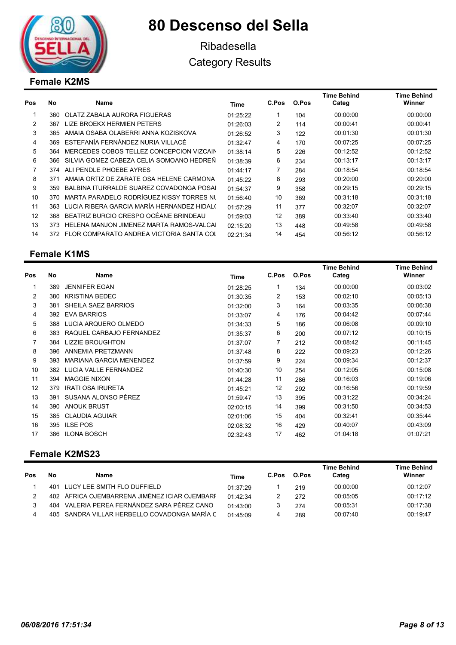

## Ribadesella Category Results

### Female K2MS

| Pos | No   | Name                                       | Time     | C.Pos | O.Pos | <b>Time Behind</b><br>Categ | <b>Time Behind</b><br>Winner |
|-----|------|--------------------------------------------|----------|-------|-------|-----------------------------|------------------------------|
|     | 360  | OLATZ ZABALA AURORA FIGUERAS               | 01:25:22 |       | 104   | 00:00:00                    | 00:00:00                     |
| 2   | 367  | LIZE BROEKX HERMIEN PETERS                 | 01:26:03 | 2     | 114   | 00:00:41                    | 00:00:41                     |
| 3   | 365  | AMAIA OSABA OLABERRI ANNA KOZISKOVA        | 01:26:52 | 3     | 122   | 00:01:30                    | 00:01:30                     |
| 4   | 369  | ESTEFANÍA FERNÁNDEZ NURIA VILLACÉ          | 01:32:47 | 4     | 170   | 00:07:25                    | 00:07:25                     |
| 5   | 364  | MERCEDES COBOS TELLEZ CONCEPCION VIZCAIN   | 01:38:14 | 5     | 226   | 00:12:52                    | 00:12:52                     |
| 6   | 366. | SILVIA GOMEZ CABEZA CELIA SOMOANO HEDREÑ   | 01:38:39 | 6     | 234   | 00:13:17                    | 00:13:17                     |
| 7   | 374  | ALI PENDLE PHOEBE AYRES                    | 01:44:17 |       | 284   | 00:18:54                    | 00:18:54                     |
| 8   | 371  | AMAIA ORTIZ DE ZARATE OSA HELENE CARMONA   | 01:45:22 | 8     | 293   | 00:20:00                    | 00:20:00                     |
| 9   | 359  | BALBINA ITURRALDE SUÁREZ COVADONGA POSAI   | 01:54:37 | 9     | 358   | 00:29:15                    | 00:29:15                     |
| 10  | 370  | MARTA PARADELO RODRÍGUEZ KISSY TORRES NU   | 01:56:40 | 10    | 369   | 00:31:18                    | 00:31:18                     |
| 11  | 363  | LUCIA RIBERA GARCIA MARÍA HERNANDEZ HIDAL( | 01:57:29 | 11    | 377   | 00:32:07                    | 00:32:07                     |
| 12  | 368  | BEATRIZ BURCIO CRESPO OCÊANE BRINDEAU      | 01:59:03 | 12    | 389   | 00:33:40                    | 00:33:40                     |
| 13  | 373  | HELENA MANJON JIMENEZ MARTA RAMOS-VALCAI   | 02:15:20 | 13    | 448   | 00:49:58                    | 00:49:58                     |
| 14  | 372  | FLOR COMPARATO ANDREA VICTORIA SANTA COL   | 02:21:34 | 14    | 454   | 00:56:12                    | 00:56:12                     |

### Female K1MS

| Pos | <b>No</b> | Name                           | Time     | C.Pos        | O.Pos | <b>Time Behind</b><br>Categ | <b>Time Behind</b><br>Winner |
|-----|-----------|--------------------------------|----------|--------------|-------|-----------------------------|------------------------------|
|     | 389       | <b>JENNIFER EGAN</b>           | 01:28:25 | $\mathbf{1}$ | 134   | 00:00:00                    | 00:03:02                     |
| 2   | 380       | <b>KRISTINA BEDEC</b>          | 01:30:35 | 2            | 153   | 00:02:10                    | 00:05:13                     |
| 3   | 381       | SHEILA SAEZ BARRIOS            | 01:32:00 | 3            | 164   | 00:03:35                    | 00:06:38                     |
| 4   | 392       | <b>EVA BARRIOS</b>             | 01:33:07 | 4            | 176   | 00:04:42                    | 00:07:44                     |
| 5   | 388       | LUCIA ARQUERO OLMEDO           | 01:34:33 | 5            | 186   | 00:06:08                    | 00:09:10                     |
| 6   | 383       | RAQUEL CARBAJO FERNANDEZ       | 01:35:37 | 6            | 200   | 00:07:12                    | 00:10:15                     |
| 7   | 384       | <b>LIZZIE BROUGHTON</b>        | 01:37:07 | 7            | 212   | 00:08:42                    | 00:11:45                     |
| 8   | 396       | ANNEMIA PRETZMANN              | 01:37:48 | 8            | 222   | 00:09:23                    | 00:12:26                     |
| 9   | 393       | <b>MARIANA GARCIA MENENDEZ</b> | 01:37:59 | 9            | 224   | 00:09:34                    | 00:12:37                     |
| 10  | 382.      | LUCIA VALLE FERNANDEZ          | 01:40:30 | 10           | 254   | 00:12:05                    | 00:15:08                     |
| 11  | 394       | <b>MAGGIE NIXON</b>            | 01:44:28 | 11           | 286   | 00:16:03                    | 00:19:06                     |
| 12  | 379       | <b>IRATI OSA IRURETA</b>       | 01:45:21 | 12           | 292   | 00:16:56                    | 00:19:59                     |
| 13  | 391       | SUSANA ALONSO PÉREZ            | 01:59:47 | 13           | 395   | 00:31:22                    | 00:34:24                     |
| 14  | 390       | <b>ANOUK BRUST</b>             | 02:00:15 | 14           | 399   | 00:31:50                    | 00:34:53                     |
| 15  | 385       | <b>CLAUDIA AGUIAR</b>          | 02:01:06 | 15           | 404   | 00:32:41                    | 00:35:44                     |
| 16  | 395       | <b>ILSE POS</b>                | 02:08:32 | 16           | 429   | 00:40:07                    | 00:43:09                     |
| 17  | 386       | <b>ILONA BOSCH</b>             | 02:32:43 | 17           | 462   | 01:04:18                    | 01:07:21                     |

### Female K2MS23

| Pos           | No  | <b>Name</b>                                   | Time     | C.Pos | O.Pos | <b>Time Behind</b><br>Categ | <b>Time Behind</b><br>Winner |
|---------------|-----|-----------------------------------------------|----------|-------|-------|-----------------------------|------------------------------|
|               | 401 | LUCY LEE SMITH FLO DUFFIELD                   | 01.37.29 |       | 219   | 00:00:00                    | 00:12:07                     |
| $\mathcal{P}$ |     | 402 ÁFRICA OJEMBARRENA JIMÉNEZ ICIAR OJEMBARF | 01.42.34 |       | 272   | 00:05:05                    | 00:17:12                     |
| 3             |     | 404 VALERIA PEREA FERNÁNDEZ SARA PÉREZ CANO   | 01:43:00 |       | 274   | 00:05:31                    | 00:17:38                     |
|               |     | 405 SANDRA VILLAR HERBELLO COVADONGA MARÍA C  | 01.45.09 |       | 289   | 00:07:40                    | 00:19:47                     |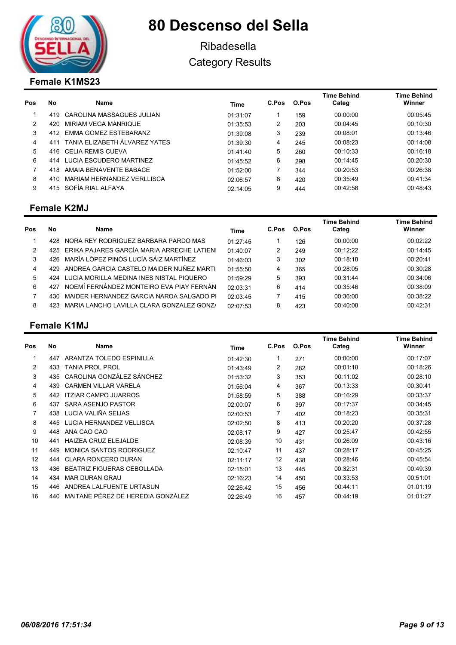

## Ribadesella Category Results

### Female K1MS23

| Pos | No  | <b>Name</b>                   | Time     | C.Pos | O.Pos | <b>Time Behind</b><br>Categ | <b>Time Behind</b><br>Winner |
|-----|-----|-------------------------------|----------|-------|-------|-----------------------------|------------------------------|
|     | 419 | CAROLINA MASSAGUES JULIAN     | 01:31:07 |       | 159   | 00:00:00                    | 00:05:45                     |
| 2   | 420 | MIRIAM VEGA MANRIQUE          | 01:35:53 | 2     | 203   | 00:04:45                    | 00:10:30                     |
| 3   | 412 | EMMA GOMEZ ESTEBARANZ         | 01:39:08 | 3     | 239   | 00:08:01                    | 00:13:46                     |
| 4   | 411 | TANIA ELIZABETH ÁLVAREZ YATES | 01:39:30 | 4     | 245   | 00:08:23                    | 00:14:08                     |
| 5   | 416 | CELIA REMIS CUEVA             | 01:41:40 | 5     | 260   | 00:10:33                    | 00:16:18                     |
| 6   | 414 | LUCIA ESCUDERO MARTINEZ       | 01:45:52 | 6     | 298   | 00:14:45                    | 00:20:30                     |
|     | 418 | AMAIA BENAVENTE BABACE        | 01.52.00 |       | 344   | 00:20:53                    | 00:26:38                     |
| 8   | 410 | MARIAM HERNANDEZ VERLLISCA    | 02:06:57 | 8     | 420   | 00:35:49                    | 00:41:34                     |
| 9   | 415 | SOFÍA RIAL ALFAYA             | 02:14:05 | 9     | 444   | 00:42:58                    | 00:48:43                     |

#### Female K2MJ

| <b>Pos</b>    | No   | Name                                           | Time     | C.Pos | O.Pos | Time Behind<br>Categ | <b>Time Behind</b><br>Winner |
|---------------|------|------------------------------------------------|----------|-------|-------|----------------------|------------------------------|
|               | 428  | NORA REY RODRIGUEZ BARBARA PARDO MAS           | 01.27.45 |       | 126   | 00:00:00             | 00:02:22                     |
| $\mathcal{P}$ |      | 425 ERIKA PAJARES GARCÍA MARIA ARRECHE LATIENI | 01:40:07 | 2     | 249   | 00:12:22             | 00:14:45                     |
| 3             |      | 426 MARÍA LÓPEZ PINÓS LUCÍA SÁIZ MARTÍNEZ      | 01:46:03 | 3     | 302   | 00:18:18             | 00:20:41                     |
| 4             | 429. | ANDREA GARCIA CASTELO MAIDER NUÑEZ MARTI       | 01:55:50 | 4     | 365   | 00:28:05             | 00:30:28                     |
| 5             | 424  | LUCIA MORILLA MEDINA INES NISTAL PIQUERO       | 01:59:29 | 5     | 393   | 00:31:44             | 00:34:06                     |
| 6             | 427  | NOEMÍ FERNÁNDEZ MONTEIRO EVA PIAY FERNÁN       | 02:03:31 | 6     | 414   | 00:35:46             | 00:38:09                     |
|               | 430  | MAIDER HERNANDEZ GARCIA NAROA SALGADO PI       | 02:03:45 |       | 415   | 00:36:00             | 00:38:22                     |
| 8             | 423  | MARIA LANCHO LAVILLA CLARA GONZALEZ GONZI      | 02:07:53 | 8     | 423   | 00:40:08             | 00:42:31                     |

### Female K1MJ

| Pos            | No  | Name                              | Time     | C.Pos | O.Pos | <b>Time Behind</b><br>Categ | <b>Time Behind</b><br>Winner |
|----------------|-----|-----------------------------------|----------|-------|-------|-----------------------------|------------------------------|
|                | 447 | ARANTZA TOLEDO ESPINILLA          | 01:42:30 | 1     | 271   | 00:00:00                    | 00:17:07                     |
| $\overline{2}$ | 433 | <b>TANIA PROL PROL</b>            | 01:43:49 | 2     | 282   | 00:01:18                    | 00:18:26                     |
| 3              | 435 | CAROLINA GONZÁLEZ SÁNCHEZ         | 01:53:32 | 3     | 353   | 00:11:02                    | 00:28:10                     |
| 4              | 439 | <b>CARMEN VILLAR VARELA</b>       | 01:56:04 | 4     | 367   | 00:13:33                    | 00:30:41                     |
| 5              | 442 | <b>ITZIAR CAMPO JUARROS</b>       | 01:58:59 | 5     | 388   | 00:16:29                    | 00:33:37                     |
| 6              | 437 | SARA ASENJO PASTOR                | 02:00:07 | 6     | 397   | 00:17:37                    | 00:34:45                     |
| 7              | 438 | LUCIA VALIÑA SEIJAS               | 02:00:53 | 7     | 402   | 00:18:23                    | 00:35:31                     |
| 8              | 445 | LUCIA HERNANDEZ VELLISCA          | 02:02:50 | 8     | 413   | 00:20:20                    | 00:37:28                     |
| 9              | 448 | ANA CAO CAO                       | 02:08:17 | 9     | 427   | 00:25:47                    | 00:42:55                     |
| 10             | 441 | <b>HAIZEA CRUZ ELEJALDE</b>       | 02:08:39 | 10    | 431   | 00:26:09                    | 00:43:16                     |
| 11             | 449 | <b>MONICA SANTOS RODRIGUEZ</b>    | 02:10:47 | 11    | 437   | 00:28:17                    | 00:45:25                     |
| 12             | 444 | <b>CLARA RONCERO DURAN</b>        | 02:11:17 | 12    | 438   | 00:28:46                    | 00:45:54                     |
| 13             | 436 | <b>BEATRIZ FIGUERAS CEBOLLADA</b> | 02:15:01 | 13    | 445   | 00:32:31                    | 00:49:39                     |
| 14             | 434 | <b>MAR DURAN GRAU</b>             | 02:16:23 | 14    | 450   | 00:33:53                    | 00:51:01                     |
| 15             | 446 | ANDREA LALFUENTE URTASUN          | 02:26:42 | 15    | 456   | 00:44:11                    | 01:01:19                     |
| 16             | 440 | MAITANE PÉREZ DE HEREDIA GONZÁLEZ | 02:26:49 | 16    | 457   | 00:44:19                    | 01:01:27                     |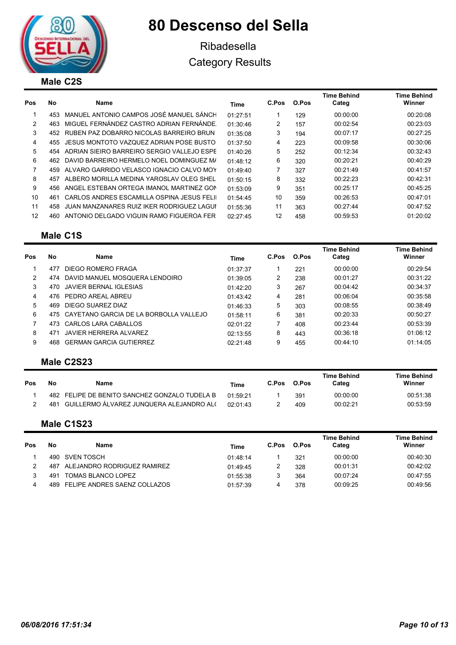

## Ribadesella Category Results

| Pos | No  | Name                                        | Time     | C.Pos | O.Pos | Time Behind<br>Categ | Time Behind<br>Winner |
|-----|-----|---------------------------------------------|----------|-------|-------|----------------------|-----------------------|
|     | 453 | MANUEL ANTONIO CAMPOS JOSÉ MANUEL SÁNCH     | 01:27:51 |       | 129   | 00:00:00             | 00:20:08              |
| 2   | 463 | MIGUEL FERNÁNDEZ CASTRO ADRIAN FERNÁNDE.    | 01:30:46 | 2     | 157   | 00:02:54             | 00:23:03              |
| 3   | 452 | RUBEN PAZ DOBARRO NICOLAS BARREIRO BRUN     | 01:35:08 | 3     | 194   | 00:07:17             | 00:27:25              |
| 4   |     | 455 JESUS MONTOTO VAZQUEZ ADRIAN POSE BUSTO | 01:37:50 | 4     | 223   | 00:09:58             | 00:30:06              |
| 5   | 454 | ADRIAN SIEIRO BARREIRO SERGIO VALLEJO ESPE  | 01:40:26 | 5     | 252   | 00:12:34             | 00:32:43              |
| 6   | 462 | DAVID BARREIRO HERMELO NOEL DOMINGUEZ M/    | 01:48:12 | 6     | 320   | 00:20:21             | 00:40:29              |
| 7   | 459 | ALVARO GARRIDO VELASCO IGNACIO CALVO MOY    | 01:49:40 | 7     | 327   | 00:21:49             | 00:41:57              |
| 8   | 457 | ALBERO MORILLA MEDINA YAROSLAV OLEG SHEL    | 01:50:15 | 8     | 332   | 00:22:23             | 00:42:31              |
| 9   | 456 | ANGEL ESTEBAN ORTEGA IMANOL MARTINEZ GON    | 01:53:09 | 9     | 351   | 00:25:17             | 00:45:25              |
| 10  | 461 | CARLOS ANDRES ESCAMILLA OSPINA JESUS FELII  | 01:54:45 | 10    | 359   | 00:26:53             | 00:47:01              |
| 11  | 458 | JUAN MANZANARES RUIZ IKER RODRIGUEZ LAGUI   | 01:55:36 | 11    | 363   | 00:27:44             | 00:47:52              |
| 12  | 460 | ANTONIO DELGADO VIGUIN RAMO FIGUEROA FER    | 02:27:45 | 12    | 458   | 00:59:53             | 01:20:02              |

#### Male C1S

| Pos | <b>No</b> | Name                                   | Time     | C.Pos | O.Pos | <b>Time Behind</b><br>Categ | <b>Time Behind</b><br>Winner |
|-----|-----------|----------------------------------------|----------|-------|-------|-----------------------------|------------------------------|
|     | 477       | DIEGO ROMERO FRAGA                     | 01:37:37 |       | 221   | 00:00:00                    | 00:29:54                     |
| 2   | 474       | DAVID MANUEL MOSQUERA LENDOIRO         | 01:39:05 | 2     | 238   | 00:01:27                    | 00:31:22                     |
| 3   | 470       | JAVIER BERNAL IGLESIAS                 | 01:42:20 | 3     | 267   | 00:04:42                    | 00:34:37                     |
| 4   | 476.      | PEDRO AREAL ABREU                      | 01:43:42 | 4     | 281   | 00:06:04                    | 00:35:58                     |
| 5   | 469       | DIEGO SUAREZ DIAZ                      | 01:46:33 | 5     | 303   | 00:08:55                    | 00:38:49                     |
| 6   | 475       | CAYETANO GARCIA DE LA BORBOLLA VALLEJO | 01.58.11 | 6     | 381   | 00:20:33                    | 00:50:27                     |
|     | 473.      | CARLOS LARA CABALLOS                   | 02:01:22 |       | 408   | 00:23:44                    | 00:53:39                     |
| 8   | 471       | <b>JAVIER HERRERA ALVAREZ</b>          | 02:13:55 | 8     | 443   | 00:36:18                    | 01:06:12                     |
| 9   | 468.      | <b>GERMAN GARCIA GUTIERREZ</b>         | 02:21:48 | 9     | 455   | 00:44:10                    | 01:14:05                     |

#### Male C2S23

| No  | Name | <b>Time</b>                                                                               | C.Pos | O.Pos | <b>Time Behind</b><br>Categ | <b>Time Behind</b><br>Winner |
|-----|------|-------------------------------------------------------------------------------------------|-------|-------|-----------------------------|------------------------------|
|     |      | 01.59.21                                                                                  |       | 391   | 00:00:00                    | 00:51:38                     |
| 481 |      | 02.01.43                                                                                  |       | 409   | 00:02:21                    | 00:53:59                     |
|     |      | 482 FELIPE DE BENITO SANCHEZ GONZALO TUDELA B<br>GUILLERMO ÁLVAREZ JUNQUERA ALEJANDRO AL( |       |       |                             |                              |

#### Male C1S23

| Pos | Nο   | Name                             | Time     | C.Pos | O.Pos | <b>Time Behind</b><br>Cateɑ | <b>Time Behind</b><br>Winner |
|-----|------|----------------------------------|----------|-------|-------|-----------------------------|------------------------------|
|     |      | 490 SVEN TOSCH                   | 01.48.14 |       | 321   | 00:00:00                    | 00:40:30                     |
|     | 487. | ALEJANDRO RODRIGUEZ RAMIREZ      | 01:49:45 |       | 328   | 00:01:31                    | 00:42:02                     |
|     | 491  | TOMAS BLANCO LOPEZ               | 01:55:38 |       | 364   | 00:07:24                    | 00:47:55                     |
|     |      | 489 FELIPE ANDRES SAENZ COLLAZOS | 01:57:39 | 4     | 378   | 00:09:25                    | 00:49:56                     |

Time Behind Winner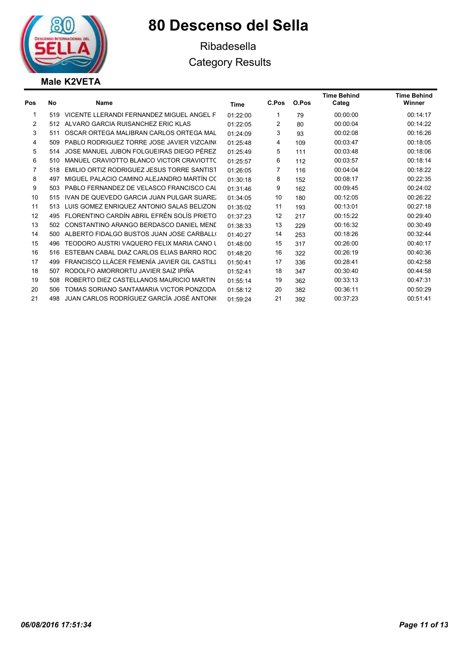

Ribadesella Category Results

### Male K2VETA

| Pos | No  | <b>Name</b>                                 | Time     | C.Pos | O.Pos | <b>Time Behind</b><br>Categ | <b>Time Behind</b><br>Winner |
|-----|-----|---------------------------------------------|----------|-------|-------|-----------------------------|------------------------------|
| 1   | 519 | VICENTE LLERANDI FERNANDEZ MIGUEL ANGEL F   | 01:22:00 | 1     | 79    | 00:00:00                    | 00:14:17                     |
| 2   | 512 | ALVARO GARCIA RUISANCHEZ ERIC KLAS          | 01:22:05 | 2     | 80    | 00:00:04                    | 00:14:22                     |
| 3   | 511 | OSCAR ORTEGA MALIBRAN CARLOS ORTEGA MAL     | 01:24:09 | 3     | 93    | 00:02:08                    | 00:16:26                     |
| 4   | 509 | PABLO RODRIGUEZ TORRE JOSE JAVIER VIZCAINO  | 01:25:48 | 4     | 109   | 00:03:47                    | 00:18:05                     |
| 5   | 514 | JOSE MANUEL JUBON FOLGUEIRAS DIEGO PÉREZ    | 01:25:49 | 5     | 111   | 00:03:48                    | 00:18:06                     |
| 6   | 510 | MANUEL CRAVIOTTO BLANCO VICTOR CRAVIOTTO    | 01:25:57 | 6     | 112   | 00:03:57                    | 00:18:14                     |
| 7   | 518 | EMILIO ORTIZ RODRIGUEZ JESUS TORRE SANTIST  | 01:26:05 | 7     | 116   | 00:04:04                    | 00:18:22                     |
| 8   | 497 | MIGUEL PALACIO CAMINO ALEJANDRO MARTÍN CO   | 01:30:18 | 8     | 152   | 00:08:17                    | 00:22:35                     |
| 9   | 503 | PABLO FERNANDEZ DE VELASCO FRANCISCO CAL    | 01:31:46 | 9     | 162   | 00:09:45                    | 00:24:02                     |
| 10  | 515 | IVAN DE QUEVEDO GARCIA JUAN PULGAR SUARE.   | 01:34:05 | 10    | 180   | 00:12:05                    | 00:26:22                     |
| 11  | 513 | LUIS GOMEZ ENRIQUEZ ANTONIO SALAS BELIZON   | 01:35:02 | 11    | 193   | 00:13:01                    | 00:27:18                     |
| 12  | 495 | FLORENTINO CARDÍN ABRIL EFRÉN SOLÍS PRIETO  | 01:37:23 | 12    | 217   | 00:15:22                    | 00:29:40                     |
| 13  | 502 | CONSTANTINO ARANGO BERDASCO DANIEL MENE     | 01:38:33 | 13    | 229   | 00:16:32                    | 00:30:49                     |
| 14  | 500 | ALBERTO FIDALGO BUSTOS JUAN JOSE CARBALLO   | 01:40:27 | 14    | 253   | 00:18:26                    | 00:32:44                     |
| 15  | 496 | TEODORO AUSTRI VAQUERO FELIX MARIA CANO L   | 01:48:00 | 15    | 317   | 00:26:00                    | 00:40:17                     |
| 16  | 516 | ESTEBAN CABAL DIAZ CARLOS ELIAS BARRO ROC   | 01:48:20 | 16    | 322   | 00:26:19                    | 00:40:36                     |
| 17  | 499 | FRANCISCO LLÁCER FEMENÍA JAVIER GIL CASTILI | 01:50:41 | 17    | 336   | 00:28:41                    | 00:42:58                     |
| 18  | 507 | RODOLFO AMORRORTU JAVIER SAIZ IPIÑA         | 01:52:41 | 18    | 347   | 00:30:40                    | 00:44:58                     |
| 19  | 508 | ROBERTO DIEZ CASTELLANOS MAURICIO MARTIN    | 01:55:14 | 19    | 362   | 00:33:13                    | 00:47:31                     |
| 20  | 506 | TOMAS SORIANO SANTAMARIA VICTOR PONZODA     | 01:58:12 | 20    | 382   | 00:36:11                    | 00:50:29                     |
| 21  | 498 | JUAN CARLOS RODRÍGUEZ GARCÍA JOSÉ ANTONIO   | 01:59:24 | 21    | 392   | 00:37:23                    | 00:51:41                     |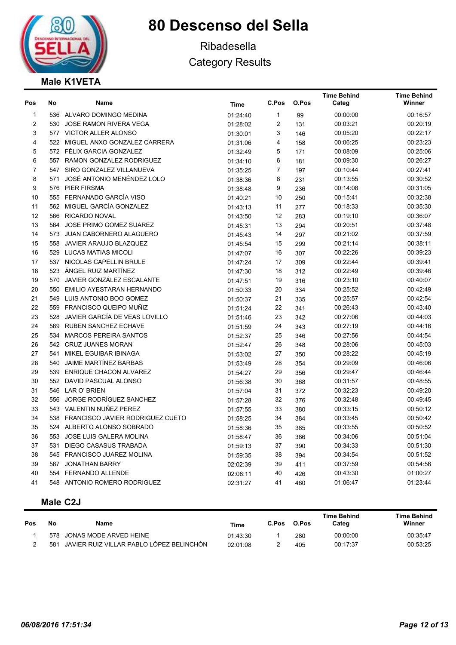

## Ribadesella Category Results

### Male K1VETA

| Pos                     | No  | Name                                 | Time     | C.Pos          | O.Pos | <b>Time Behind</b><br>Categ | <b>Time Behind</b><br>Winner |
|-------------------------|-----|--------------------------------------|----------|----------------|-------|-----------------------------|------------------------------|
| 1                       |     | 536 ALVARO DOMINGO MEDINA            | 01:24:40 | $\mathbf{1}$   | 99    | 00:00:00                    | 00:16:57                     |
| $\overline{\mathbf{c}}$ |     | 530 JOSE RAMON RIVERA VEGA           | 01:28:02 | 2              | 131   | 00:03:21                    | 00:20:19                     |
| 3                       |     | 577 VICTOR ALLER ALONSO              | 01:30:01 | 3              | 146   | 00:05:20                    | 00:22:17                     |
| 4                       |     | 522 MIGUEL ANXO GONZALEZ CARRERA     | 01:31:06 | 4              | 158   | 00:06:25                    | 00:23:23                     |
| 5                       |     | 572 FÉLIX GARCIA GONZALEZ            | 01:32:49 | 5              | 171   | 00:08:09                    | 00:25:06                     |
| 6                       |     | 557 RAMON GONZALEZ RODRIGUEZ         | 01:34:10 | 6              | 181   | 00:09:30                    | 00:26:27                     |
| $\overline{7}$          |     | 547 SIRO GONZALEZ VILLANUEVA         | 01:35:25 | $\overline{7}$ | 197   | 00:10:44                    | 00:27:41                     |
| 8                       | 571 | JOSÉ ANTONIO MENÉNDEZ LOLO           | 01:38:36 | 8              | 231   | 00:13:55                    | 00:30:52                     |
| 9                       |     | 576 PIER FIRSMA                      | 01:38:48 | 9              | 236   | 00:14:08                    | 00:31:05                     |
| 10                      |     | 555 FERNANADO GARCÍA VISO            | 01:40:21 | 10             | 250   | 00:15:41                    | 00:32:38                     |
| 11                      |     | 562 MIGUEL GARCÍA GONZALEZ           | 01:43:13 | 11             | 277   | 00:18:33                    | 00:35:30                     |
| 12                      |     | 566 RICARDO NOVAL                    | 01:43:50 | 12             | 283   | 00:19:10                    | 00:36:07                     |
| 13                      |     | 564 JOSE PRIMO GOMEZ SUAREZ          | 01:45:31 | 13             | 294   | 00:20:51                    | 00:37:48                     |
| 14                      |     | 573 JUAN CABORNERO ALAGUERO          | 01:45:43 | 14             | 297   | 00:21:02                    | 00:37:59                     |
| 15                      |     | 558 JAVIER ARAUJO BLAZQUEZ           | 01:45:54 | 15             | 299   | 00:21:14                    | 00:38:11                     |
| 16                      |     | 529 LUCAS MATIAS MICOLI              | 01:47:07 | 16             | 307   | 00:22:26                    | 00:39:23                     |
| 17                      |     | 537 NICOLAS CAPELLIN BRULE           | 01:47:24 | 17             | 309   | 00:22:44                    | 00:39:41                     |
| 18                      |     | 523 ÁNGEL RUIZ MARTÍNEZ              | 01:47:30 | 18             | 312   | 00:22:49                    | 00:39:46                     |
| 19                      |     | 570 JAVIER GONZÁLEZ ESCALANTE        | 01:47:51 | 19             | 316   | 00:23:10                    | 00:40:07                     |
| 20                      | 550 | EMILIO AYESTARAN HERNANDO            | 01:50:33 | 20             | 334   | 00:25:52                    | 00:42:49                     |
| 21                      |     | 549 LUIS ANTONIO BOO GOMEZ           | 01:50:37 | 21             | 335   | 00:25:57                    | 00:42:54                     |
| 22                      |     | 559 FRANCISCO QUEIPO MUÑIZ           | 01:51:24 | 22             | 341   | 00:26:43                    | 00:43:40                     |
| 23                      |     | 528 JAVIER GARCÍA DE VEAS LOVILLO    | 01:51:46 | 23             | 342   | 00:27:06                    | 00:44:03                     |
| 24                      | 569 | RUBEN SANCHEZ ECHAVE                 | 01:51:59 | 24             | 343   | 00:27:19                    | 00:44:16                     |
| 25                      |     | 534 MARCOS PEREIRA SANTOS            | 01:52:37 | 25             | 346   | 00:27:56                    | 00:44:54                     |
| 26                      |     | 542 CRUZ JUANES MORAN                | 01:52:47 | 26             | 348   | 00:28:06                    | 00:45:03                     |
| 27                      |     | 541 MIKEL EGUIBAR IBINAGA            | 01:53:02 | 27             | 350   | 00:28:22                    | 00:45:19                     |
| 28                      |     | 540 JAIME MARTÍNEZ BARBAS            | 01:53:49 | 28             | 354   | 00:29:09                    | 00:46:06                     |
| 29                      |     | 539 ENRIQUE CHACON ALVAREZ           | 01:54:27 | 29             | 356   | 00:29:47                    | 00:46:44                     |
| 30                      |     | 552 DAVID PASCUAL ALONSO             | 01:56:38 | 30             | 368   | 00:31:57                    | 00:48:55                     |
| 31                      |     | 546 LAR O' BRIEN                     | 01:57:04 | 31             | 372   | 00:32:23                    | 00:49:20                     |
| 32                      |     | 556 JORGE RODRÍGUEZ SANCHEZ          | 01:57:28 | 32             | 376   | 00:32:48                    | 00:49:45                     |
| 33                      |     | 543 VALENTIN NUÑEZ PEREZ             | 01:57:55 | 33             | 380   | 00:33:15                    | 00:50:12                     |
| 34                      |     | 538 FRANCISCO JAVIER RODRIGUEZ CUETO | 01:58:25 | 34             | 384   | 00:33:45                    | 00:50:42                     |
| 35                      |     | 524 ALBERTO ALONSO SOBRADO           | 01:58:36 | 35             | 385   | 00:33:55                    | 00:50:52                     |
| 36                      |     | 553 JOSE LUIS GALERA MOLINA          | 01:58:47 | 36             | 386   | 00:34:06                    | 00:51:04                     |
| 37                      | 531 | <b>DIEGO CASASUS TRABADA</b>         | 01:59:13 | 37             | 390   | 00:34:33                    | 00:51:30                     |
| 38                      |     | 545 FRANCISCO JUAREZ MOLINA          | 01:59:35 | 38             | 394   | 00:34:54                    | 00:51:52                     |
| 39                      |     | 567 JONATHAN BARRY                   | 02:02:39 | 39             | 411   | 00:37:59                    | 00:54:56                     |
| 40                      | 554 | <b>FERNANDO ALLENDE</b>              | 02:08:11 | 40             | 426   | 00:43:30                    | 01:00:27                     |
| 41                      |     | 548 ANTONIO ROMERO RODRIGUEZ         | 02:31:27 | 41             | 460   | 01:06:47                    | 01:23:44                     |

### Male C2J

| <b>Pos</b> | No  | Name                                     | Time     | C.Pos | O.Pos | <b>Time Behind</b><br>Cated | <b>Time Behind</b><br>Winner |
|------------|-----|------------------------------------------|----------|-------|-------|-----------------------------|------------------------------|
|            |     | 578 JONAS MODE ARVED HEINE               | 01:43:30 |       | 280   | 00:00:00                    | 00:35:47                     |
|            | 581 | JAVIER RUIZ VILLAR PABLO LÓPEZ BELINCHÓN | 02:01:08 |       | 405   | 00:17:37                    | 00:53:25                     |